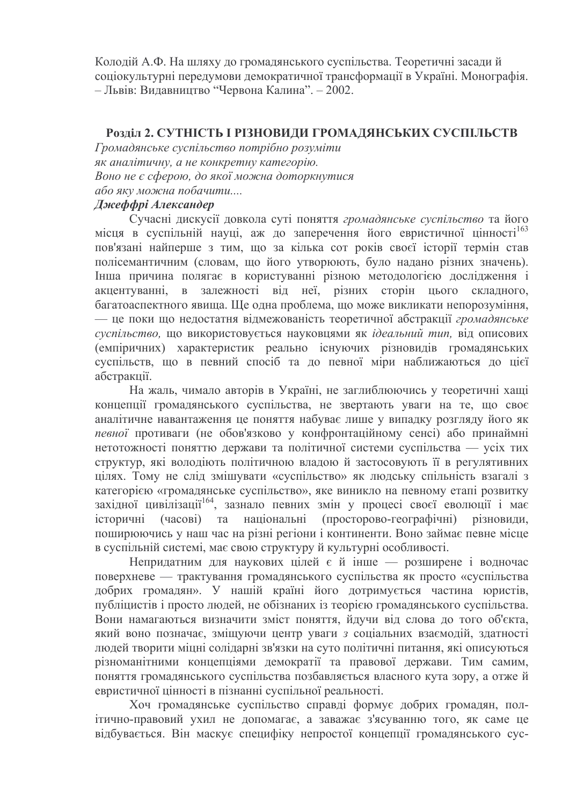Колодій А.Ф. На шляху до громадянського суспільства. Теоретичні засади й соціокультурні передумови демократичної трансформації в Україні. Монографія. – Львів: Видавництво "Червона Калина". - 2002.

# Розліл 2. СУТНІСТЬ І РІЗНОВИЛИ ГРОМАЛЯНСЬКИХ СУСПІЛЬСТВ

Громадянське суспільство потрібно розуміти як аналітичну, а не конкретну категорію. Воно не є сферою, до якої можна доторкнутися або яку можна побачити....

# Джеффрі Александер

Сучасні дискусії довкола суті поняття громадянське суспільство та його місця в суспільній науці, аж до заперечення його евристичної цінності<sup>163</sup> пов'язані найперше з тим, що за кілька сот років своєї історії термін став полісемантичним (словам, що його утворюють, було надано різних значень). Інша причина полягає в користуванні різною методологією дослідження і акцентуванні, в залежності від неї, різних сторін цього складного, багатоаспектного явища. Ще одна проблема, що може викликати непорозуміння, - це поки що недостатня відмежованість теоретичної абстракції громадянське суспільство, що використовується науковцями як ідеальний тип, від описових (емпіричних) характеристик реально існуючих різновидів громадянських суспільств, що в певний спосіб та до певної міри наближаються до цієї абстракції.

На жаль, чимало авторів в Україні, не заглиблюючись у теоретичні хащі концепції громадянського суспільства, не звертають уваги на те, що своє аналітичне навантаження це поняття набуває лише у випадку розгляду його як певної противаги (не обов'язково у конфронтаційному сенсі) або принаймні нетотожності поняттю держави та політичної системи суспільства — усіх тих структур, які володіють політичною владою й застосовують її в регулятивних цілях. Тому не слід змішувати «суспільство» як людську спільність взагалі з категорією «громадянське суспільство», яке виникло на певному етапі розвитку західної цивілізації<sup>164</sup>, зазнало певних змін у процесі своєї еволюції і має історичні (часові) та національні (просторово-географічні) різновиди, поширюючись у наш час на різні регіони і континенти. Воно займає певне місце в суспільній системі, має свою структуру й культурні особливості.

Непридатним для наукових цілей є й інше — розширене і водночас поверхневе — трактування громадянського суспільства як просто «суспільства добрих громадян». У нашій країні його дотримується частина юристів, публіцистів і просто людей, не обізнаних із теорією громадянського суспільства. Вони намагаються визначити зміст поняття, йдучи від слова до того об'єкта, який воно позначає, зміщуючи центр уваги з соціальних взаємодій, здатності людей творити міцні солідарні зв'язки на суто політичні питання, які описуються різноманітними концепціями демократії та правової держави. Тим самим, поняття громадянського суспільства позбавляється власного кута зору, а отже й евристичної цінності в пізнанні суспільної реальності.

Хоч громадянське суспільство справді формує добрих громадян, політично-правовий ухил не допомагає, а заважає з'ясуванню того, як саме це відбувається. Він маскує специфіку непростої концепції громадянського сус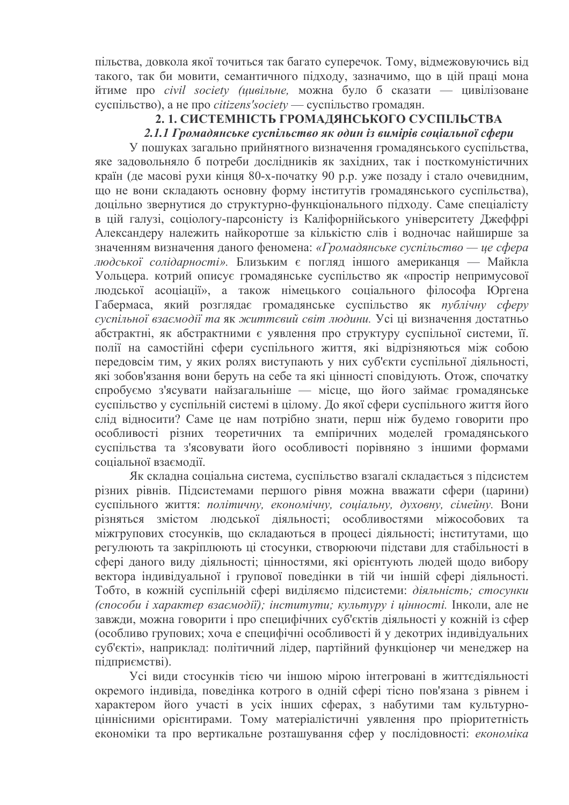пільства, довкола якої точиться так багато суперечок. Тому, відмежовуючись від такого, так би мовити, семантичного підходу, зазначимо, що в цій праці мона йтиме про *civil society (цивільне*, можна було б сказати — цивілізоване  $c$ успільство), а не про *citizens'society* — суспільство громадян.

# 2.1. СИСТЕМНІСТЬ ГРОМАДЯНСЬКОГО СУСПІЛЬСТВА

### 2.1.1 Громадянське суспільство як один із вимірів соціальної сфери

У пошуках загально прийнятного визначення громадянського суспільства, яке задовольняло б потреби дослідників як західних, так і посткомуністичних країн (де масові рухи кінця 80-х-початку 90 р.р. уже позаду і стало очевидним, що не вони складають основну форму інститутів громадянського суспільства), доцільно звернутися до структурно-функціонального підходу. Саме спеціалісту в цій галузі, соціологу-парсоністу із Каліфорнійського університету Джеффрі Александеру належить найкоротше за кількістю слів і водночас найширше за значенням визначення даного феномена: «Громадянське суспільство — це сфера людської солідарності». Близьким є погляд іншого американця — Майкла Уольцера. котрий описує громадянське суспільство як «простір непримусової людської асоціації», а також німецького соціального філософа Юргена Габермаса, який розглядає громадянське суспільство як публічну сферу суспільної взаємодії та як життєвий світ людини. Усі ці визначення достатньо абстрактні, як абстрактними є уявлення про структуру суспільної системи, її. полії на самостійні сфери суспільного життя, які відрізняються між собою передовсім тим, у яких ролях виступають у них суб'єкти суспільної діяльності, які зобов'язання вони беруть на себе та які цінності сповідують. Отож, спочатку спробуємо з'ясувати найзагальніше — місце, що його займає громадянське суспільство у суспільній системі в цілому. До якої сфери суспільного життя його слід відносити? Саме це нам потрібно знати, перш ніж будемо говорити про особливості різних теоретичних та емпіричних моделей громадянського суспільства та з'ясовувати його особливості порівняно з іншими формами соціальної взаємодії.

Як складна соціальна система, суспільство взагалі складається з підсистем різних рівнів. Підсистемами першого рівня можна вважати сфери (царини) суспільного життя: політичну, економічну, соціальну, духовну, сімейну. Вони різняться змістом людської діяльності; особливостями міжособових та міжгрупових стосунків, що складаються в процесі діяльності; інститутами, що регулюють та закріплюють ці стосунки, створюючи підстави для стабільності в сфері даного виду діяльності; цінностями, які орієнтують людей щодо вибору вектора індивідуальної і групової поведінки в тій чи іншій сфері діяльності. Тобто, в кожній суспільній сфері виділяємо підсистеми: діяльність; стосунки (способи і характер взаємодії); інститути; культуру і цінності. Інколи, але не завжди, можна говорити і про специфічних суб'єктів діяльності у кожній із сфер (особливо групових; хоча е специфічні особливості й у декотрих індивідуальних суб'єкті», наприклад: політичний лідер, партійний функціонер чи менеджер на підприємстві).

Усі види стосунків тією чи іншою мірою інтегровані в життєдіяльності окремого індивіда, поведінка котрого в одній сфері тісно пов'язана з рівнем і характером його участі в усіх інших сферах, з набутими там культурноціннісними орієнтирами. Тому матеріалістичні уявлення про пріоритетність економіки та про вертикальне розташування сфер у послідовності: економіка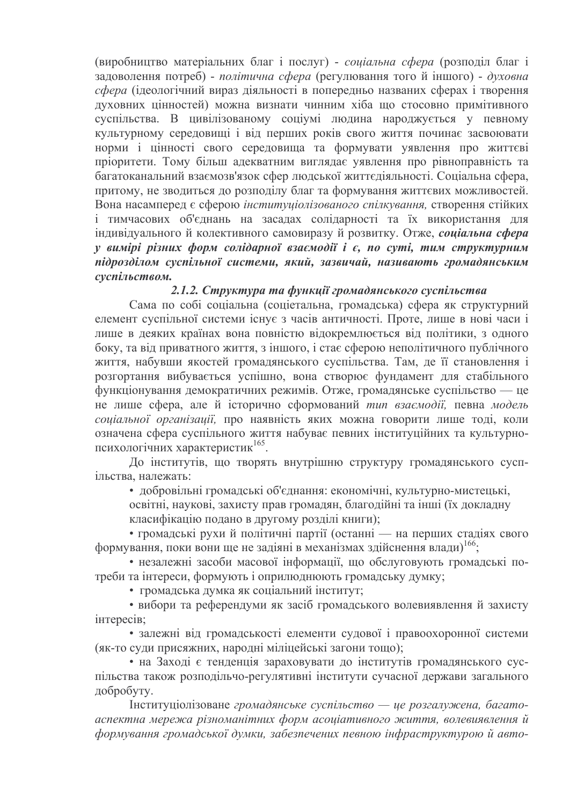(виробництво матеріальних благ і послуг) - соціальна сфера (розподіл благ і задоволення потреб) - політична сфера (регулювання того й іншого) - духовна сфера (ідеологічний вираз діяльності в попередньо названих сферах і творення духовних цінностей) можна визнати чинним хіба що стосовно примітивного суспільства. В цивілізованому соціумі людина народжується у певному культурному середовищі і від перших років свого життя починає засвоювати норми і цінності свого середовища та формувати уявлення про життєві пріоритети. Тому більш адекватним виглядає уявлення про рівноправність та багатоканальний взаємозв'язок сфер людської життєдіяльності. Соціальна сфера, притому, не зводиться до розподілу благ та формування життєвих можливостей. Вона насамперед є сферою інституціолізованого спілкування, створення стійких і тимчасових об'єднань на засадах солідарності та їх використання для індивідуального й колективного самовиразу й розвитку. Отже, соціальна сфера у вимірі різних форм солідарної взаємодії і є, по суті, тим структурним підрозділом суспільної системи, який, зазвичай, називають громадянським суспільством.

#### 2.1.2. Структура та функції громадянського суспільства

Сама по собі соціальна (соцієтальна, громадська) сфера як структурний елемент суспільної системи існує з часів античності. Проте, лише в нові часи і лише в деяких країнах вона повністю відокремлюється від політики, з одного боку, та від приватного життя, з іншого, і стає сферою неполітичного публічного життя, набувши якостей громадянського суспільства. Там, де її становлення і розгортання вибувається успішно, вона створює фундамент для стабільного функціонування демократичних режимів. Отже, громадянське суспільство — це не лише сфера, але й історично сформований тип взаємодії, певна модель соціальної організації, про наявність яких можна говорити лише тоді, коли означена сфера суспільного життя набуває певних інституційних та культурнопсихологічних характеристик<sup>165</sup>.

До інститутів, що творять внутрішню структуру громадянського суспільства, належать:

• добровільні громадські об'єднання: економічні, культурно-мистецькі, освітні, наукові, захисту прав громадян, благодійні та інші (їх докладну класифікацію подано в другому розділі книги);

• громадські рухи й політичні партії (останні — на перших стадіях свого формування, поки вони ще не задіяні в механізмах здійснення влади)<sup>166</sup>;

• незалежні засоби масової інформації, що обслуговують громадські потреби та інтереси, формують і оприлюднюють громадську думку;

• громадська думка як соціальний інститут;

• вибори та референдуми як засіб громадського волевиявлення й захисту інтересів;

• залежні від громадськості елементи судової і правоохоронної системи (як-то суди присяжних, народні міліцейські загони тощо);

• на Заході є тенденція зараховувати до інститутів громадянського суспільства також розподільчо-регулятивні інститути сучасної держави загального добробуту.

Інституціолізоване громадянське суспільство — це розгалужена, багатоаспектна мережа різноманітних форм асоціативного життя, волевиявлення й формування громадської думки, забезпечених певною інфраструктурою й авто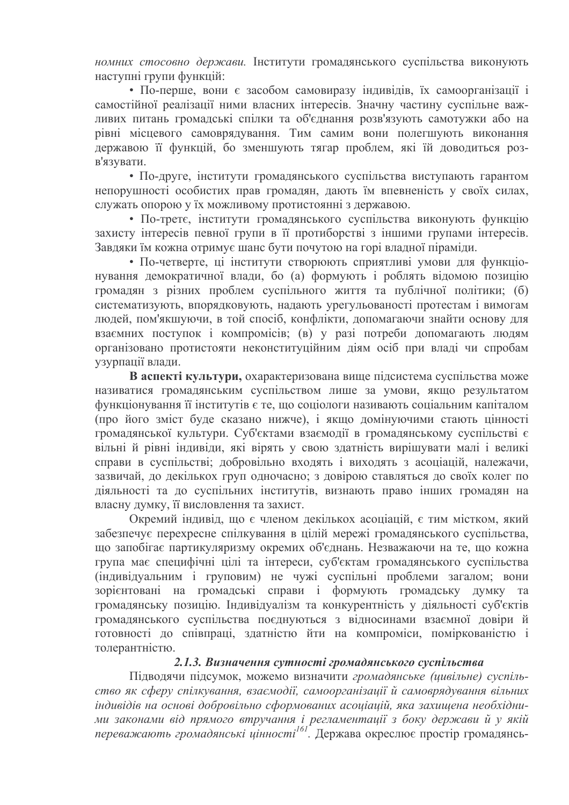номних стосовно держави. Інститути громадянського суспільства виконують наступні групи функцій:

• По-перше, вони є засобом самовиразу індивідів, їх самоорганізації і самостійної реалізації ними власних інтересів. Значну частину суспільне важливих питань громадські спілки та об'єднання розв'язують самотужки або на рівні місцевого самоврядування. Тим самим вони полегшують виконання державою її функцій. бо зменшують тягар проблем, які їй доводиться розв'язувати.

• По-друге, інститути громадянського суспільства виступають гарантом непорушності особистих прав громадян, дають їм впевненість у своїх силах, служать опорою у їх можливому протистоянні з державою.

• По-третє, інститути громадянського суспільства виконують функцію захисту інтересів певної групи в її протиборстві з іншими групами інтересів. Завдяки їм кожна отримує шанс бути почутою на горі владної піраміди.

• По-четверте, ці інститути створюють сприятливі умови для функціонування демократичної влади, бо (а) формують і роблять відомою позицію громадян з різних проблем суспільного життя та публічної політики; (б) систематизують, впорядковують, надають урегульованості протестам і вимогам людей, пом'якшуючи, в той спосіб, конфлікти, допомагаючи знайти основу для взаємних поступок і компромісів; (в) у разі потреби допомагають людям організовано протистояти неконституційним діям осіб при владі чи спробам узурпації влади.

В аспекті культури, охарактеризована вище підсистема суспільства може називатися громадянським суспільством лише за умови, якщо результатом функціонування її інститутів є те, що соціологи називають соціальним капіталом (про його зміст буде сказано нижче), і якщо домінуючими стають цінності громадянської культури. Суб'єктами взаємодії в громадянському суспільстві є вільні й рівні індивіди, які вірять у свою здатність вирішувати малі і великі справи в суспільстві; добровільно входять і виходять з асоціацій, належачи, зазвичай, до декількох груп одночасно; з довірою ставляться до своїх колег по діяльності та до суспільних інститутів, визнають право інших громадян на власну думку, її висловлення та захист.

Окремий індивід, що є членом декількох асоціацій, є тим містком, який забезпечує перехресне спілкування в цілій мережі громадянського суспільства, що запобігає партикуляризму окремих об'єднань. Незважаючи на те, що кожна група має специфічні цілі та інтереси, суб'єктам громадянського суспільства (індивідуальним і груповим) не чужі суспільні проблеми загалом; вони зорієнтовані на громадські справи і формують громадську думку та громадянську позицію. Індивідуалізм та конкурентність у діяльності суб'єктів громадянського суспільства поєднуються з відносинами взаємної довіри й готовності до співпраці, здатністю йти на компроміси, поміркованістю і толерантністю.

## 2.1.3. Визначення сутності громадянського суспільства

Підводячи підсумок, можемо визначити громадянське (цивільне) суспільство як сферу спілкування, взаємодії, самоорганізації й самоврядування вільних індивідів на основі добровільно сформованих асоціацій, яка захищена необхідними законами від прямого втручання і регламентації з боку держави й у якій переважають громадянські цінності<sup>161</sup>. Держава окреслює простір громадянсь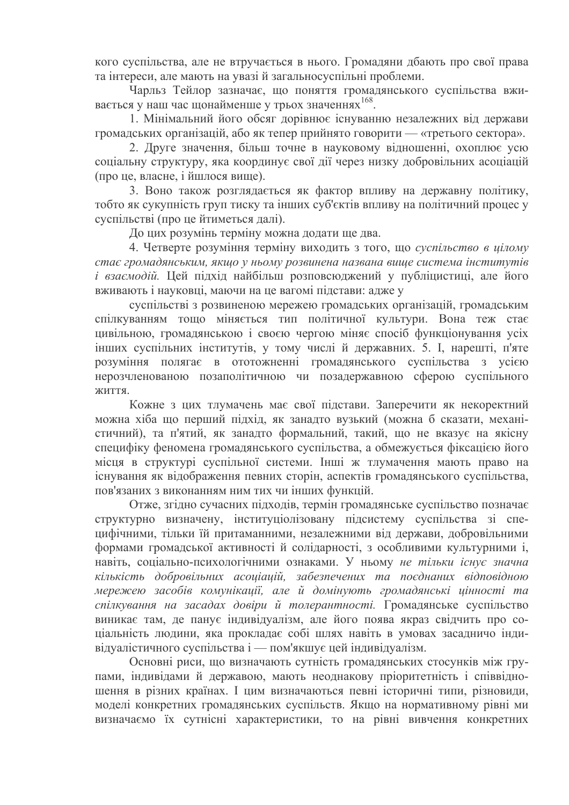кого суспільства, але не втручається в нього. Громадяни дбають про свої права та інтереси, але мають на увазі й загальносуспільні проблеми.

Чарльз Тейлор зазначає, що поняття громадянського суспільства вживається у наш час щонайменше у трьох значеннях 168.

1. Мінімальний його обсяг дорівнює існуванню незалежних від держави громалських організацій, або як тепер прийнято говорити — «третього сектора».

2. Друге значення, більш точне в науковому відношенні, охоплює усю соціальну структуру, яка координує свої дії через низку добровільних асоціацій (про це, власне, і йшлося вище).

3. Воно також розглядається як фактор впливу на державну політику, тобто як сукупність груп тиску та інших суб'єктів впливу на політичний процес у суспільстві (про це йтиметься далі).

До цих розумінь терміну можна додати ще два.

4. Четверте розуміння терміну виходить з того, що суспільство в иілому стає громадянським, якщо у ньому розвинена названа вище система інститутів і взаємодій. Цей підхід найбільш розповсюджений у публіцистиці, але його вживають і науковці, маючи на це вагомі підстави: адже у

суспільстві з розвиненою мережею громадських організацій, громадським спілкуванням тощо міняється тип політичної культури. Вона теж стає цивільною, громадянською і своєю чергою міняє спосіб функціонування усіх інших суспільних інститутів, у тому числі й державних. 5. І, нарешті, п'яте розуміння полягає в ототожненні громадянського суспільства з усією нерозчленованою позаполітичною чи позадержавною сферою суспільного життя.

Кожне з цих тлумачень має свої підстави. Заперечити як некоректний можна хіба що перший підхід, як занадто вузький (можна б сказати, механістичний), та п'ятий, як занадто формальний, такий, що не вказує на якісну специфіку феномена громадянського суспільства, а обмежується фіксацією його місця в структурі суспільної системи. Інші ж тлумачення мають право на існування як відображення певних сторін, аспектів громадянського суспільства, пов'язаних з виконанням ним тих чи інших функцій.

Отже, згідно сучасних підходів, термін громадянське суспільство позначає структурно визначену, інституціолізовану підсистему суспільства зі специфічними, тільки їй притаманними, незалежними від держави, добровільними формами громадської активності й солідарності, з особливими культурними і, навіть, соціально-психологічними ознаками. У ньому не тільки існує значна кількість добровільних асоціацій, забезпечених та поєднаних відповідною мережею засобів комунікації, але й домінують громадянські цінності та спілкування на засадах довіри й толерантності. Громадянське суспільство виникає там, де панує індивідуалізм, але його поява якраз свідчить про соціальність людини, яка прокладає собі шлях навіть в умовах засадничо індивідуалістичного суспільства і — пом'якшує цей індивідуалізм.

Основні риси, що визначають сутність громадянських стосунків між групами, індивідами й державою, мають неоднакову пріоритетність і співвідношення в різних країнах. І цим визначаються певні історичні типи, різновиди, моделі конкретних громадянських суспільств. Якщо на нормативному рівні ми визначаємо їх сутнісні характеристики, то на рівні вивчення конкретних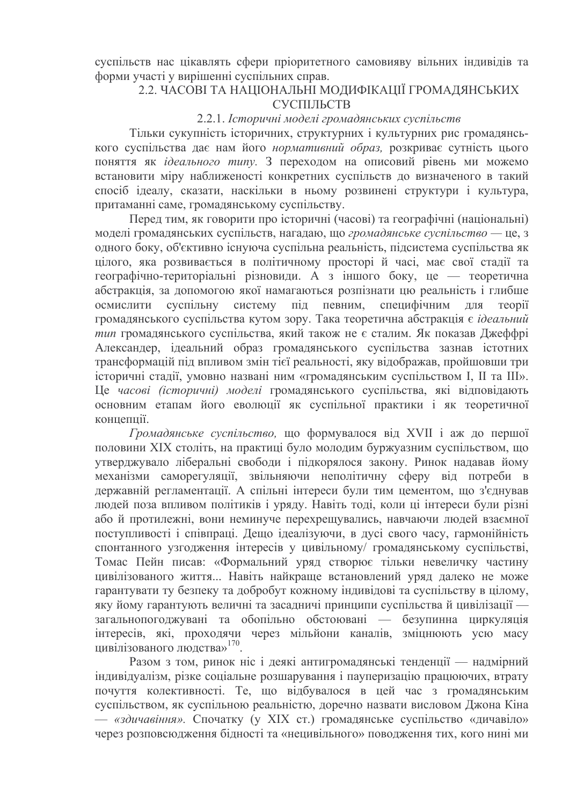суспільств нас цікавлять сфери пріоритетного самовияву вільних індивідів та форми участі у вирішенні суспільних справ.

# 2.2. ЧАСОВІ ТА НАЦІОНАЛЬНІ МОДИФІКАЦІЇ ГРОМАДЯНСЬКИХ СУСПІЛЬСТВ

#### 2.2.1. Історичні моделі громадянських суспільств

Тільки сукупність історичних, структурних і культурних рис громалянського суспільства дає нам його нормативний образ, розкриває сутність цього поняття як *ідеального типу*. З переходом на описовий рівень ми можемо встановити міру наближеності конкретних суспільств до визначеного в такий спосіб ідеалу, сказати, наскільки в ньому розвинені структури і культура, притаманні саме, громадянському суспільству.

Перед тим, як говорити про історичні (часові) та географічні (національні) моделі громадянських суспільств, нагадаю, що громадянське суспільство - це, з одного боку, об'єктивно існуюча суспільна реальність, підсистема суспільства як цілого, яка розвивається в політичному просторі й часі, має свої стадії та географічно-територіальні різновиди. А з іншого боку, це — теоретична абстракція, за допомогою якої намагаються розпізнати цю реальність і глибше осмислити суспільну систему під певним, специфічним ЛЛЯ **reopii** громадянського суспільства кутом зору. Така теоретична абстракція є ідеальний тип громадянського суспільства, який також не є сталим. Як показав Джеффрі Александер, ідеальний образ громадянського суспільства зазнав істотних трансформацій під впливом змін тієї реальності, яку відображав, пройшовши три історичні стадії, умовно названі ним «громадянським суспільством I, II та III». Це часові (історичні) моделі громадянського суспільства, які відповідають основним етапам його еволюції як суспільної практики і як теоретичної концепий.

Громадянське суспільство, що формувалося від XVII і аж до першої половини XIX століть, на практиці було молодим буржуазним суспільством, що утверджувало ліберальні свободи і підкорялося закону. Ринок надавав йому механізми саморегуляції, звільняючи неполітичну сферу від потреби в державній регламентації. А спільні інтереси були тим цементом, що з'єднував людей поза впливом політиків і уряду. Навіть тоді, коли ці інтереси були різні або й протилежні, вони неминуче перехрещувались, навчаючи людей взаємної поступливості і співпраці. Дещо ідеалізуючи, в дусі свого часу, гармонійність спонтанного узгодження інтересів у цивільному/ громадянському суспільстві, Томас Пейн писав: «Формальний уряд створює тільки невеличку частину цивілізованого життя... Навіть найкраще встановлений уряд далеко не може гарантувати ту безпеку та добробут кожному індивідові та суспільству в цілому, яку йому гарантують величні та засадничі принципи суспільства й цивілізації загальнопогоджувані та обопільно обстоювані — безупинна циркуляція інтересів, які, проходячи через мільйони каналів, зміцнюють усю масу цивілізованого людства»<sup>170</sup>.

Разом з том, ринок ніс і деякі антигромадянські тенденції — надмірний індивідуалізм, різке соціальне розшарування і пауперизацію працюючих, втрату почуття колективності. Те, що відбувалося в цей час з громадянським суспільством, як суспільною реальністю, доречно назвати висловом Джона Кіна - «здичавіння». Спочатку (у XIX ст.) громадянське суспільство «дичавіло» через розповсюдження бідності та «нецивільного» поводження тих, кого нині ми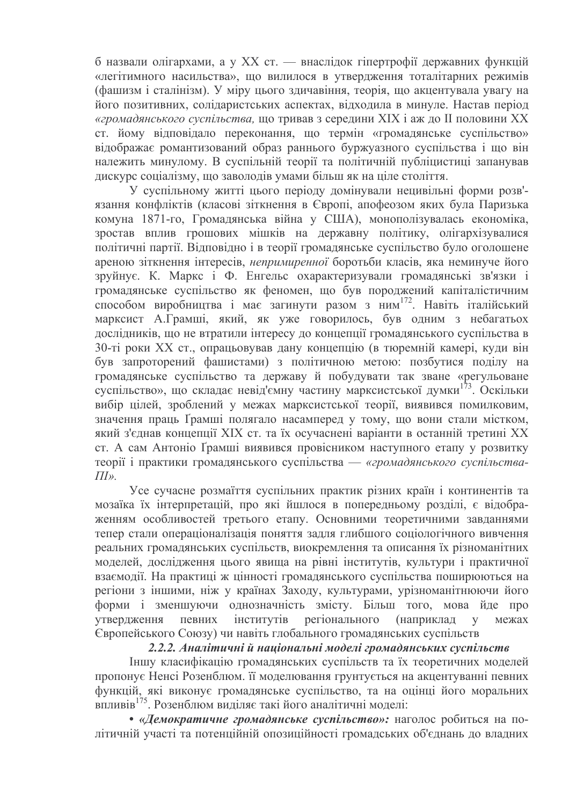б назвали олігархами, а у XX ст. — внаслідок гіпертрофії державних функцій «легітимного насильства», що вилилося в утвердження тоталітарних режимів (фашизм і сталінізм). У міру цього здичавіння, теорія, що акцентувала увагу на його позитивних, солідаристських аспектах, відходила в минуле. Настав період «громадянського суспільства, що тривав з середини XIX і аж до II половини XX ст. йому відповідало переконання, що термін «громадянське суспільство» вілображає романтизований образ раннього буржуазного суспільства і що він належить минулому. В суспільній теорії та політичній публіцистиці запанував дискурс соціалізму, що заволодів умами більш як на ціле століття.

У суспільному житті цього періоду домінували нецивільні форми розв'язання конфліктів (класові зіткнення в Європі, апофеозом яких була Паризька комуна 1871-го, Громадянська війна у США), монополізувалась економіка, зростав вплив грошових мішків на державну політику, олігархізувалися політичні партії. Відповідно і в теорії громадянське суспільство було оголошене ареною зіткнення інтересів, непримиренної боротьби класів, яка неминуче його зруйнує. К. Маркс і Ф. Енгельс охарактеризували громадянські зв'язки і громадянське суспільство як феномен, що був породжений капіталістичним способом виробництва і має загинути разом з ним<sup>172</sup>. Навіть італійський марксист А.Грамші, який, як уже говорилось, був одним з небагатьох дослідників, що не втратили інтересу до концепції громадянського суспільства в 30-ті роки XX ст., опрацьовував дану концепцію (в тюремній камері, куди він був запроторений фашистами) з політичною метою: позбутися поділу на громадянське суспільство та державу й побудувати так зване «регульоване суспільство», що складає невід'ємну частину марксистської думки<sup>173</sup>. Оскільки вибір цілей, зроблений у межах марксистської теорії, виявився помилковим, значення праць Ґрамші полягало насамперед у тому, що вони стали містком, який з'єднав концепції XIX ст. та їх осучаснені варіанти в останній третині XX ст. А сам Антоніо Ґрамші виявився провісником наступного етапу у розвитку теорії і практики громадянського суспільства — «громадянського суспільства- $\overline{III}$ ».

Усе сучасне розмаїття суспільних практик різних країн і континентів та мозаїка їх інтерпретацій, про які йшлося в попередньому розділі, є відображенням особливостей третього етапу. Основними теоретичними завданнями тепер стали операціоналізація поняття задля глибшого соціологічного вивчення реальних громадянських суспільств, виокремлення та описання їх різноманітних моделей, дослідження цього явища на рівні інститутів, культури і практичної взаємодії. На практиці ж цінності громадянського суспільства поширюються на регіони з іншими, ніж у країнах Заходу, культурами, урізноманітнюючи його форми і зменшуючи однозначність змісту. Більш того, мова йде про певних інститутів регіонального **VTBeDДЖення** (наприклад межах  $V$ Європейського Союзу) чи навіть глобального громадянських суспільств

#### 2.2.2. Аналітичні й національні моделі громадянських суспільств

Іншу класифікацію громадянських суспільств та їх теоретичних моделей пропонує Ненсі Розенблюм. її моделювання грунтується на акцентуванні певних функцій, які виконує громадянське суспільство, та на оцінці його моральних впливів<sup>175</sup>. Розенблюм виділяє такі його аналітичні моделі:

• «Демократичне громадянське суспільство»: наголос робиться на політичній участі та потенційній опозиційності громадських об'єднань до владних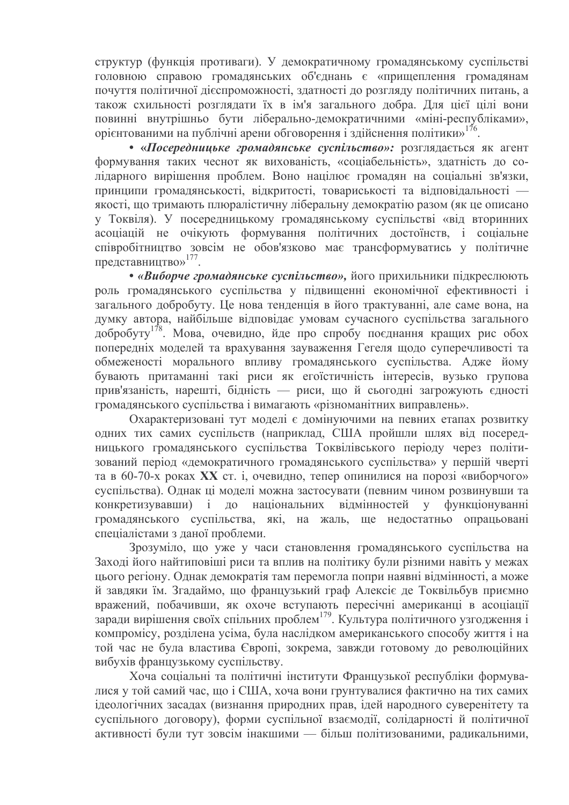структур (функція противаги). У демократичному громадянському суспільстві головною справою громадянських об'єднань є «прищеплення громадянам почуття політичної дієспроможності, здатності до розгляду політичних питань, а також схильності розглялати їх в ім'я загального добра. Для цієї цілі вони повинні внутрішньо бути ліберально-демократичними «міні-республіками», орієнтованими на публічні арени обговорення і здійснення політики»<sup>176</sup>.

• «Посередницьке громадянське суспільство»: розглядається як агент формування таких чеснот як вихованість, «соціабельність», здатність до солідарного вирішення проблем. Воно націлює громадян на соціальні зв'язки, принципи громадянськості, відкритості, товариськості та відповідальності якості, що тримають плюралістичну ліберальну демократію разом (як це описано у Токвіля). У посередницькому громадянському суспільстві «від вторинних асоціацій не очікують формування політичних достоїнств, і соціальне співробітництво зовсім не обов'язково має трансформуватись у політичне представництво»<sup>177</sup>.

• «Виборче громадянське суспільство», його прихильники підкреслюють роль громадянського суспільства у підвищенні економічної ефективності і загального добробуту. Це нова тенденція в його трактуванні, але саме вона, на думку автора, найбільше відповідає умовам сучасного суспільства загального добробуту<sup>178</sup>. Мова, очевидно, йде про спробу поєднання кращих рис обох попередніх моделей та врахування зауваження Гегеля щодо суперечливості та обмеженості морального впливу громадянського суспільства. Адже йому бувають притаманні такі риси як егоїстичність інтересів, вузько групова прив'язаність, нарешті, бідність — риси, що й сьогодні загрожують єдності громадянського суспільства і вимагають «різноманітних виправлень».

Охарактеризовані тут моделі є домінуючими на певних етапах розвитку одних тих самих суспільств (наприклад, США пройшли шлях від посередницького громадянського суспільства Токвілівського періоду через політизований період «демократичного громадянського суспільства» у першій чверті та в 60-70-х роках XX ст. і, очевидно, тепер опинилися на порозі «виборчого» суспільства). Однак ці моделі можна застосувати (певним чином розвинувши та конкретизувавши) і до національних відмінностей у функціонуванні громадянського суспільства, які, на жаль, ще недостатньо опрацьовані спеціалістами з даної проблеми.

Зрозуміло, що уже у часи становлення громадянського суспільства на Захолі його найтиповіші риси та вплив на політику були різними навіть у межах цього регіону. Однак демократія там перемогла попри наявні відмінності, а може й завдяки їм. Згадаймо, що французький граф Алексіє де Токвільбув приємно вражений, побачивши, як охоче вступають пересічні американці в асоціації заради вирішення своїх спільних проблем<sup>179</sup>. Культура політичного узгодження і компромісу, розділена усіма, була наслідком американського способу життя і на той час не була властива Європі, зокрема, завжди готовому до революційних вибухів французькому суспільству.

Хоча соціальні та політичні інститути Французької республіки формувалися у той самий час, що і США, хоча вони грунтувалися фактично на тих самих ідеологічних засадах (визнання природних прав, ідей народного суверенітету та суспільного договору), форми суспільної взаємодії, солідарності й політичної активності були тут зовсім інакшими — більш політизованими, радикальними,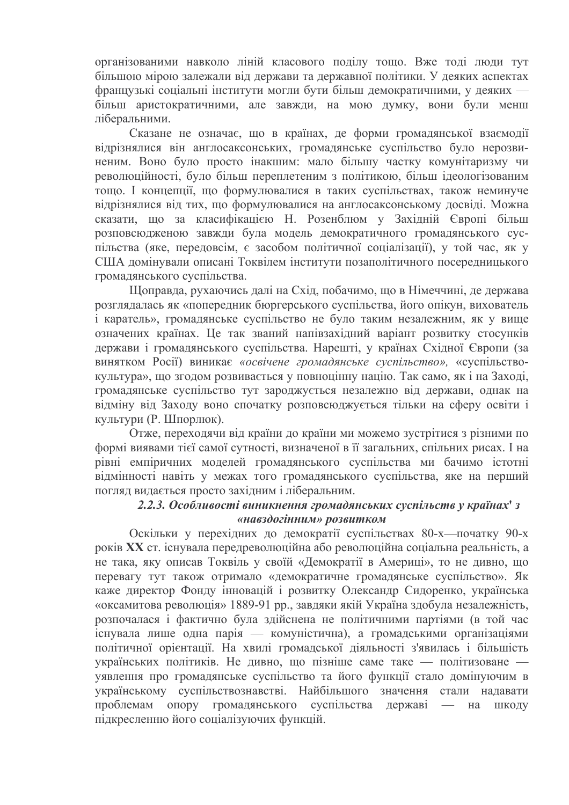організованими навколо ліній класового поділу тощо. Вже тоді люди тут більшою мірою залежали від держави та державної політики. У деяких аспектах французькі соціальні інститути могли бути більш демократичними, у деяких більш аристократичними, але завжди, на мою думку, вони були менш ліберальними.

Сказане не означає, що в країнах, де форми громадянської взаємодії відрізнялися він англосаксонських, громадянське суспільство було нерозвиненим. Воно було просто інакшим: мало більшу частку комунітаризму чи революційності, було більш переплетеним з політикою, більш ідеологізованим тощо. І концепції, що формулювалися в таких суспільствах, також неминуче відрізнялися від тих, що формулювалися на англосаксонському досвіді. Можна сказати, що за класифікацією Н. Розенблюм у Західній Європі більш розповсюдженою завжди була модель демократичного громадянського суспільства (яке, передовсім, є засобом політичної соціалізації), у той час, як у США домінували описані Токвілем інститути позаполітичного посередницького громадянського суспільства.

Щоправда, рухаючись далі на Схід, побачимо, що в Німеччині, де держава розглядалась як «попередник бюргерського суспільства, його опікун, вихователь і каратель», громадянське суспільство не було таким незалежним, як у вище означених країнах. Це так званий напівзахідний варіант розвитку стосунків держави і громадянського суспільства. Нарешті, у країнах Східної Європи (за винятком Росії) виникає «освічене громадянське суспільство», «суспільствокультура», що згодом розвивається у повноцінну націю. Так само, як і на Заході, громадянське суспільство тут зароджується незалежно від держави, однак на відміну від Заходу воно спочатку розповсюджується тільки на сферу освіти і культури (Р. Шпорлюк).

Отже, переходячи від країни до країни ми можемо зустрітися з різними по формі виявами тієї самої сутності, визначеної в її загальних, спільних рисах. І на рівні емпіричних моделей громадянського суспільства ми бачимо істотні відмінності навіть у межах того громадянського суспільства, яке на перший погляд видається просто західним і ліберальним.

### 2.2.3. Особливості виникнення громадянських суспільств у країнах' з «навздогінним» розвитком

Оскільки у перехідних до демократії суспільствах 80-х—початку 90-х років XX ст. існувала передреволюційна або революційна соціальна реальність, а не така, яку описав Токвіль у своїй «Демократії в Америці», то не дивно, що перевагу тут також отримало «демократичне громадянське суспільство». Як каже директор Фонду інновацій і розвитку Олександр Сидоренко, українська «оксамитова революція» 1889-91 рр., завдяки якій Україна здобула незалежність, розпочалася і фактично була здійснена не політичними партіями (в той час існувала лише одна парія — комуністична), а громадськими організаціями політичної орієнтації. На хвилі громадської діяльності з'явилась і більшість українських політиків. Не дивно, що пізніше саме таке — політизоване уявлення про громадянське суспільство та його функції стало домінуючим в українському суспільствознавстві. Найбільшого значення стали надавати проблемам опору громадянського суспільства державі  $-$  Ha ШКОДУ підкресленню його соціалізуючих функцій.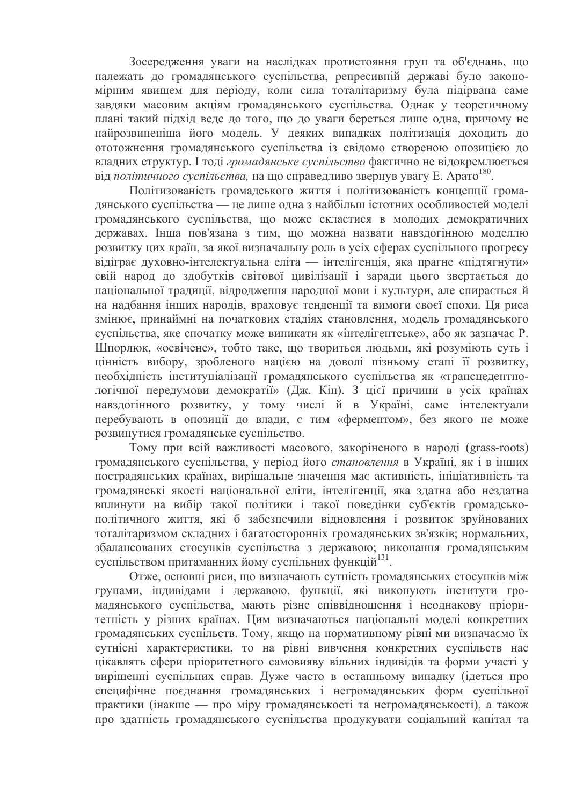Зосередження уваги на наслідках протистояння груп та об'єднань, що належать до громадянського суспільства, репресивній державі було закономірним явищем для періоду, коли сила тоталітаризму була підірвана саме завдяки масовим акціям громадянського суспільства. Однак у теоретичному плані такий підхід веде до того, що до уваги береться лише одна, причому не найрозвиненіша його модель. У деяких випадках політизація доходить до ототожнення громадянського суспільства із свідомо створеною опозицією до владних структур. І тоді громадянське суспільство фактично не відокремлюється від політичного суспільства, на що справедливо звернув увагу Е. Арато<sup>180</sup>.

Політизованість громадського життя і політизованість концепції громадянського суспільства — це лише одна з найбільш істотних особливостей моделі громадянського суспільства, що може скластися в молодих демократичних державах. Інша пов'язана з тим, що можна назвати навздогінною моделлю розвитку цих країн, за якої визначальну роль в усіх сферах суспільного прогресу відіграє духовно-інтелектуальна еліта — інтелігенція, яка прагне «підтягнути» свій народ до здобутків світової цивілізації і заради цього звертається до національної традиції, відродження народної мови і культури, але спирається й на надбання інших народів, враховує тенденції та вимоги своєї епохи. Ця риса змінює, принаймні на початкових стадіях становлення, модель громадянського суспільства, яке спочатку може виникати як «інтелігентське», або як зазначає Р. Шпорлюк, «освічене», тобто таке, що твориться людьми, які розуміють суть і цінність вибору, зробленого нацією на доволі пізньому етапі її розвитку, необхідність інституціалізації громадянського суспільства як «трансцедентнологічної передумови демократії» (Дж. Кін). З цієї причини в усіх країнах навздогінного розвитку, у тому числі й в Україні, саме інтелектуали перебувають в опозиції до влади, є тим «ферментом», без якого не може розвинутися громадянське суспільство.

Тому при всій важливості масового, закоріненого в народі (grass-roots) громадянського суспільства, у період його становлення в Україні, як і в інших пострадянських країнах, вирішальне значення має активність, ініціативність та громадянські якості національної еліти, інтелігенції, яка здатна або нездатна вплинути на вибір такої політики і такої поведінки суб'єктів громадськополітичного життя, які б забезпечили відновлення і розвиток зруйнованих тоталітаризмом складних і багатосторонніх громадянських зв'язків; нормальних, збалансованих стосунків суспільства з державою; виконання громадянським суспільством притаманних йому суспільних функцій<sup>131</sup>.

Отже, основні риси, що визначають сутність громадянських стосунків між групами, індивідами і державою, функції, які виконують інститути громадянського суспільства, мають різне співвідношення і неоднакову пріоритетність у різних країнах. Цим визначаються національні моделі конкретних громадянських суспільств. Тому, якщо на нормативному рівні ми визначаємо їх сутнісні характеристики, то на рівні вивчення конкретних суспільств нас цікавлять сфери пріоритетного самовияву вільних індивідів та форми участі у вирішенні суспільних справ. Дуже часто в останньому випадку (ідеться про специфічне поєднання громадянських і негромадянських форм суспільної практики (інакше — про міру громадянськості та негромадянськості), а також про здатність громадянського суспільства продукувати соціальний капітал та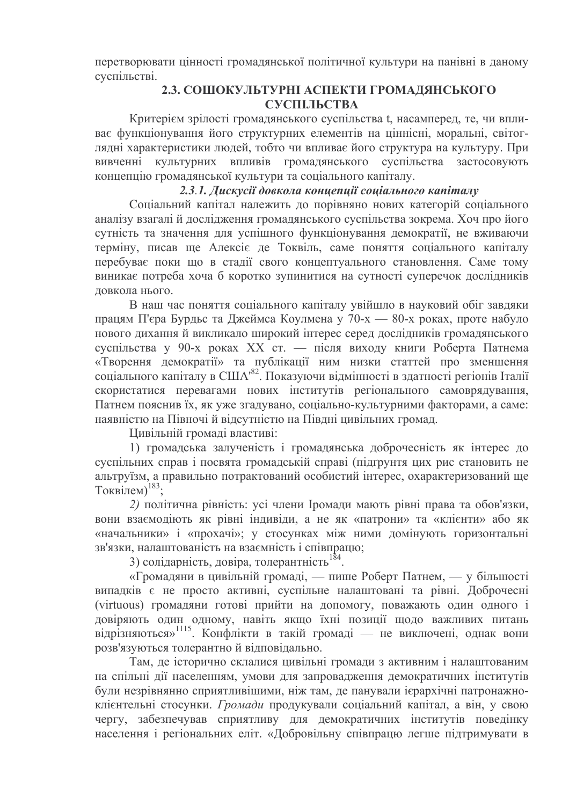перетворювати цінності громадянської політичної культури на панівні в даному суспільстві.

# 2.3. СОШОКУЛЬТУРНІ АСПЕКТИ ГРОМАДЯНСЬКОГО СУСПІЛЬСТВА

Критерієм зрілості громадянського суспільства t, насамперед, те, чи впливає функціонування його структурних елементів на ціннісні, моральні, світоглядні характеристики людей, тобто чи впливає його структура на культуру. При вивченні культурних впливів громадянського суспільства застосовують концепцію громадянської культури та соціального капіталу.

### 2.3.1. Дискусії довкола концепції соціального капіталу

Соціальний капітал належить до порівняно нових категорій соціального аналізу взагалі й дослідження громадянського суспільства зокрема. Хоч про його сутність та значення для успішного функціонування демократії, не вживаючи терміну, писав ще Алексіє де Токвіль, саме поняття соціального капіталу перебуває поки що в стадії свого концептуального становлення. Саме тому виникає потреба хоча б коротко зупинитися на сутності суперечок дослідників довкола нього.

В наш час поняття соціального капіталу увійшло в науковий обіг завдяки працям П'єра Бурдьс та Джеймса Коулмена у 70-х — 80-х роках, проте набуло нового дихання й викликало широкий інтерес серед дослідників громадянського суспільства у 90-х роках XX ст. — після виходу книги Роберта Патнема «Творення демократії» та публікації ним низки статтей про зменшення соціального капіталу в США<sup>82</sup>. Показуючи відмінності в здатності регіонів Італії скористатися перевагами нових інститутів регіонального самоврядування, Патнем пояснив їх, як уже згадувано, соціально-культурними факторами, а саме: наявністю на Півночі й відсутністю на Півдні цивільних громад.

Цивільній громаді властиві:

1) громадська залученість і громадянська доброчесність як інтерес до суспільних справ і посвята громадській справі (підґрунтя цих рис становить не альтруїзм, а правильно потрактований особистий інтерес, охарактеризований ще Токвілем)<sup>183</sup>;

2) політична рівність: усі члени Іромади мають рівні права та обов'язки, вони взаємодіють як рівні індивіди, а не як «патрони» та «клієнти» або як «начальники» і «прохачі»; у стосунках між ними домінують горизонтальні зв'язки, налаштованість на взаємність і співпрацю;

3) солідарність, довіра, толерантність<sup>184</sup>.

«Громадяни в цивільній громаді, — пише Роберт Патнем, — у більшості випадків є не просто активні, суспільне налаштовані та рівні. Доброчесні (virtuous) громадяни готові прийти на допомогу, поважають один одного і довіряють один одному, навіть якщо їхні позиції щодо важливих питань відрізняються»<sup>1115</sup>. Конфлікти в такій громаді — не виключені, однак вони розв'язуються толерантно й відповідально.

Там, де історично склалися цивільні громади з активним і налаштованим на спільні дії населенням, умови для запровадження демократичних інститутів були незрівнянно сприятливішими, ніж там, де панували ієрархічні патронажноклієнтельні стосунки. Громади продукували соціальний капітал, а він, у свою чергу, забезпечував сприятливу для демократичних інститутів поведінку населення і регіональних еліт. «Добровільну співпрацю легше підтримувати в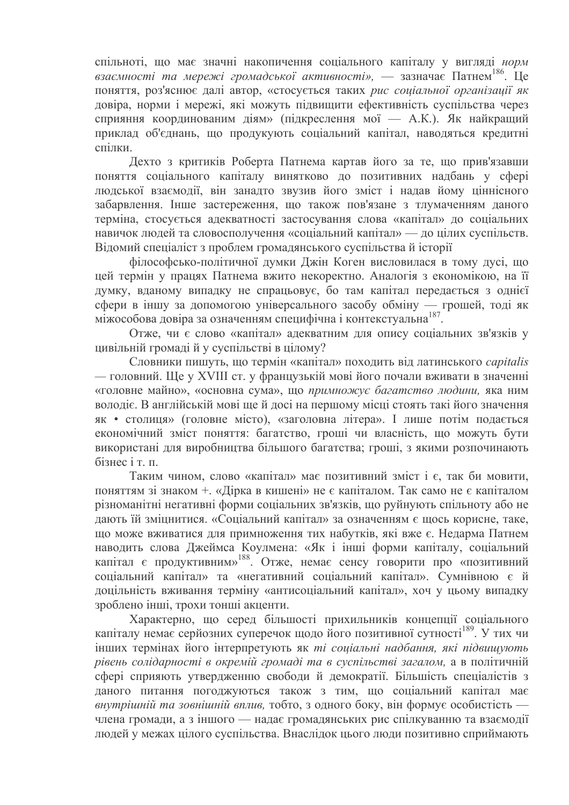спільноті, що має значні накопичення соціального капіталу у вигляді норм взаємності та мережі громадської активності», — зазначає Патнем<sup>186</sup>. Це поняття, роз'яснює далі автор, «стосується таких рис соціальної організації як довіра, норми і мережі, які можуть підвищити ефективність суспільства через сприяння координованим діям» (підкреслення мої — А.К.). Як найкращий приклал об'єднань, що продукують соціальний капітал, наводяться кредитні спілки

Дехто з критиків Роберта Патнема картав його за те, що прив'язавши поняття соціального капіталу винятково до позитивних надбань у сфері людської взаємодії, він занадто звузив його зміст і надав йому ціннісного забарвлення. Інше застереження, що також пов'язане з тлумаченням даного терміна, стосується адекватності застосування слова «капітал» до соціальних навичок людей та словосполучення «соціальний капітал» — до цілих суспільств. Відомий спеціаліст з проблем громадянського суспільства й історії

філософсько-політичної думки Джін Коген висловилася в тому дусі, що цей термін у працях Патнема вжито некоректно. Аналогія з економікою, на її думку, вданому випадку не спрацьовує, бо там капітал передається з однієї сфери в іншу за допомогою універсального засобу обміну — грошей, тоді як міжособова довіра за означенням специфічна і контекстуальна<sup>187</sup>.

Отже, чи є слово «капітал» адекватним для опису соціальних зв'язків у цивільній громаді й у суспільстві в цілому?

Словники пишуть, що термін «капітал» походить від латинського capitalis - головний. Ще у XVIII ст. у французькій мові його почали вживати в значенні «головне майно», «основна сума», що примножує багатство людини, яка ним володіє. В англійській мові ще й досі на першому місці стоять такі його значення як • столиця» (головне місто), «заголовна літера». І лише потім подається економічний зміст поняття: багатство, гроші чи власність, що можуть бути використані для виробництва більшого багатства; гроші, з якими розпочинають бізнес і т. п.

Таким чином, слово «капітал» має позитивний зміст і є, так би мовити, поняттям зі знаком +. «Дірка в кишені» не є капіталом. Так само не є капіталом різноманітні негативні форми соціальних зв'язків, що руйнують спільноту або не дають їй зміцнитися. «Соціальний капітал» за означенням є щось корисне, таке, що може вживатися для примноження тих набутків, які вже є. Недарма Патнем наводить слова Джеймса Коулмена: «Як і інші форми капіталу, соціальний капітал є продуктивним»<sup>188</sup>. Отже, немає сенсу говорити про «позитивний соціальний капітал» та «негативний соціальний капітал». Сумнівною є й доцільність вживання терміну «антисоціальний капітал», хоч у цьому випадку зроблено інші, трохи тонші акценти.

Характерно, що серед більшості прихильників концепції соціального капіталу немає серйозних суперечок щодо його позитивної сутності<sup>189</sup>. У тих чи інших термінах його інтерпретують як ті соціальні надбання, які підвищують рівень солідарності в окремій громаді та в суспільстві загалом, а в політичній сфері сприяють утвердженню свободи й демократії. Більшість спеціалістів з даного питання погоджуються також з тим, що соціальний капітал має внутрішній та зовнішній вплив, тобто, з одного боку, він формує особистість члена громади, а з іншого — надає громадянських рис спілкуванню та взаємодії людей у межах цілого суспільства. Внаслідок цього люди позитивно сприймають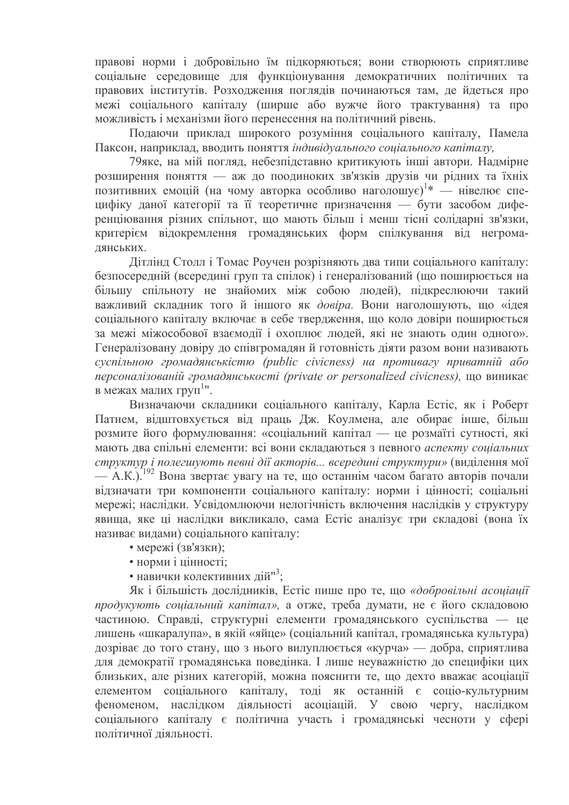правові норми і добровільно їм підкоряються; вони створюють сприятливе соціальне середовище для функціонування демократичних політичних та правових інститутів. Розходження поглядів починаються там, де йдеться про межі соціального капіталу (ширше або вужче його трактування) та про можливість і механізми його перенесення на політичний рівень.

Полаючи приклал широкого розуміння соціального капіталу. Памела Паксон, наприклад, вводить поняття індивідуального соціального капіталу.

79яке, на мій погляд, небезпідставно критикують інші автори. Надмірне розширення поняття — аж до поодиноких зв'язків друзів чи рідних та їхніх позитивних емоцій (на чому авторка особливо наголошує)<sup>1\*</sup> — нівелює специфіку даної категорії та її теоретичне призначення — бути засобом диференціювання різних спільнот, що мають більш і менш тісні солідарні зв'язки, критерієм відокремлення громадянських форм спілкування від негромалянських.

Дітлінд Столл і Томас Роучен розрізняють два типи соціального капіталу: безпосередній (всередині груп та спілок) і генералізований (що поширюється на більшу спільноту не знайомих між собою людей), підкреслюючи такий важливий складник того й іншого як довіра. Вони наголошують, що «ідея соціального капіталу включає в себе твердження, що коло довіри поширюється за межі міжособової взаємодії і охоплює людей, які не знають один одного». Генералізовану довіру до співгромадян й готовність діяти разом вони називають cycniльною громадянськістю (public civicness) на противагу приватній або персоналізованій громадянськості (private or personalized civicness), що виникає в межах малих груп<sup>1</sup>".

Визначаючи складники соціального капіталу, Карла Естіс, як і Роберт Патнем, відштовхується від праць Дж. Коулмена, але обирає інше, більш розмите його формулювання: «соціальний капітал — це розмаїті сутності, які мають два спільні елементи: всі вони складаються з певного аспекту соціальних структур і полегшують певні дії акторів... всередині структури» (виділення мої — А.К.).<sup>192</sup> Вона звертає увагу на те, що останнім часом багато авторів почали відзначати три компоненти соціального капіталу: норми і цінності; соціальні мережі; наслідки. Усвідомлюючи нелогічність включення наслідків у структуру явища, яке ці наслідки викликало, сама Естіс аналізує три складові (вона їх називає видами) соціального капіталу:

- мережі (зв'язки);
- норми і цінності;
- навички колективних дій"<sup>3</sup>:

Як і більшість дослідників, Естіс пише про те, що «добровільні асоціації продукують соціальний капітал», а отже, треба думати, не є його складовою частиною. Справді, структурні елементи громадянського суспільства — це лишень «шкаралупа», в якій «яйце» (соціальний капітал, громадянська культура) дозріває до того стану, що з нього вилуплюється «курча» — добра, сприятлива для демократії громадянська поведінка. І лише неуважністю до специфіки цих близьких, але різних категорій, можна пояснити те, що дехто вважає асоціації елементом соціального капіталу, тоді як останній є соціо-культурним феноменом, наслідком діяльності асоціацій. У свою чергу, наслідком соціального капіталу є політична участь і громадянські чесноти у сфері політичної діяльності.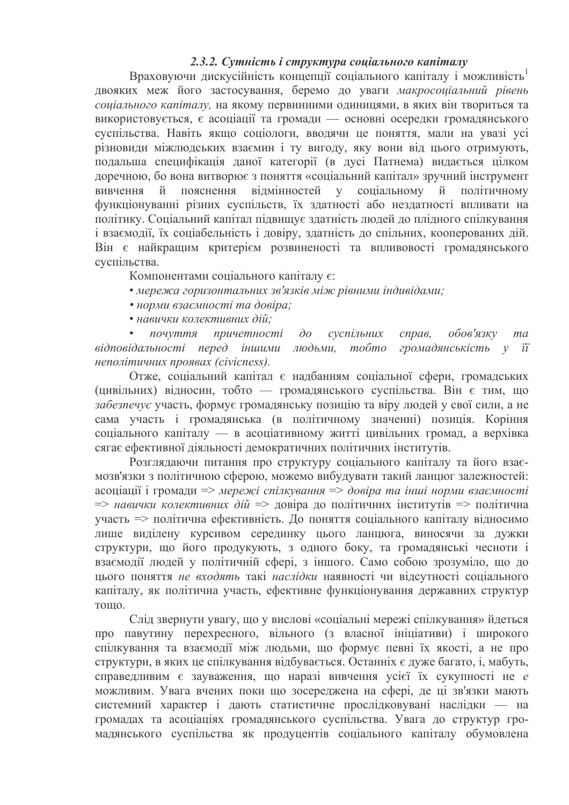### 2.3.2. Сутність і структура соціального капіталу

Враховуючи дискусійність концепції соціального капіталу і можливість двояких меж його застосування, беремо до уваги макросоціальний рівень соціального капіталу, на якому первинними одиницями, в яких він твориться та використовується, є асоціації та громади — основні осередки громадянського суспільства. Навіть якшо соціологи, вводячи це поняття, мали на увазі усі різновиди міжлюдських взаємин і ту вигоду, яку вони від цього отримують, подальша специфікація даної категорії (в дусі Патнема) видається цілком доречною, бо вона витворює з поняття «соціальний капітал» зручний інструмент відмінностей у вивчення й пояснення соціальному й політичному функціонуванні різних суспільств, їх здатності або нездатності впливати на політику. Соціальний капітал підвищує здатність людей до плідного спілкування і взаємодії, їх соціабельність і довіру, здатність до спільних, кооперованих дій. Він є найкращим критерієм розвиненості та впливовості громадянського суспільства.

Компонентами соціального капіталу є:

- мережа горизонтальних зв'язків між рівними індивідами;
- норми взаємності та довіра;
- навички колективних дій;

почуття причетності  $\partial o$ суспільних справ. обов'язку  $ma$ відповідальності перед іншими людьми, тобто громадянськість у її неполітичних проявах (civicness).

Отже, соціальний капітал є надбанням соціальної сфери, громадських (цивільних) відносин, тобто — громадянського суспільства. Він є тим, що забезпечує участь, формує громадянську позицію та віру людей у свої сили, а не сама участь і громадянська (в політичному значенні) позиція. Коріння соціального капіталу — в асоціативному житті цивільних громад, а верхівка сягає ефективної діяльності демократичних політичних інститутів.

Розглядаючи питання про структуру соціального капіталу та його взаємозв'язки з політичною сферою, можемо вибудувати такий ланцюг залежностей: асоціації і громади => мережі спілкування => довіра та інші норми взаємності => навички колективних дій => довіра до політичних інститутів => політична участь => політична ефективність. До поняття соціального капіталу відносимо лише виділену курсивом серединку цього ланцюга, виносячи за дужки структури, що його продукують, з одного боку, та громадянські чесноти і взаємодії людей у політичній сфері, з іншого. Само собою зрозуміло, що до цього поняття не входять такі наслідки наявності чи відсутності соціального капіталу, як політична участь, ефективне функціонування державних структур TOHIO.

Слід звернути увагу, що у вислові «соціальні мережі спілкування» йдеться про павутину перехресного, вільного (з власної ініціативи) і широкого спілкування та взаємодії між людьми, що формує певні їх якості, а не про структури, в яких це спілкування відбувається. Останніх є дуже багато, і, мабуть, справедливим є зауваження, що наразі вивчення усієї їх сукупності не е можливим. Увага вчених поки що зосереджена на сфері, де ці зв'язки мають системний характер і дають статистичне прослідковувані наслідки — на громадах та асоціаціях громадянського суспільства. Увага до структур громадянського суспільства як продуцентів соціального капіталу обумовлена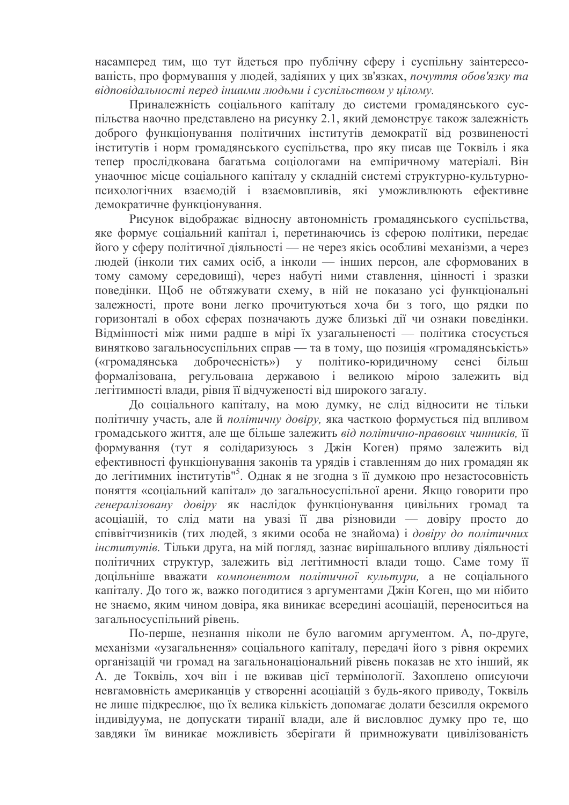насамперед тим, що тут йдеться про публічну сферу і суспільну заінтересованість, про формування у людей, задіяних у цих зв'язках, почуття обов'язку та відповідальності перед іншими людьми і суспільством у цілому.

Приналежність соціального капіталу до системи громадянського суспільства наочно представлено на рисунку 2.1, який демонструє також залежність доброго функціонування політичних інститутів демократії від розвиненості інститутів і норм громадянського суспільства, про яку писав ще Токвіль і яка тепер прослідкована багатьма соціологами на емпіричному матеріалі. Він унаочнює місце соціального капіталу у складній системі структурно-культурнопсихологічних взаємодій і взаємовпливів, які уможливлюють ефективне демократичне функціонування.

Рисунок відображає відносну автономність громадянського суспільства, яке формує соціальний капітал і, перетинаючись із сферою політики, передає його у сферу політичної діяльності — не через якісь особливі механізми, а через людей (інколи тих самих осіб, а інколи — інших персон, але сформованих в тому самому середовищі), через набуті ними ставлення, цінності і зразки поведінки. Щоб не обтяжувати схему, в ній не показано усі функціональні залежності, проте вони легко прочитуються хоча би з того, що рядки по горизонталі в обох сферах позначають дуже близькі дії чи ознаки поведінки. Відмінності між ними радше в мірі їх узагальненості — політика стосується винятково загальносуспільних справ — та в тому, що позиція «громадянськість» доброчесність») у політико-юридичному («громадянська сенсі більш регульована державою і великою мірою формалізована. залежить  $\dot{\text{B}}$ легітимності влади, рівня її відчуженості від широкого загалу.

До соціального капіталу, на мою думку, не слід відносити не тільки політичну участь, але й політичну довіру, яка часткою формується під впливом громадського життя, але ще більше залежить від політично-правових чинників, її формування (тут я солідаризуюсь з Джін Коген) прямо залежить від ефективності функціонування законів та урядів і ставленням до них громадян як до легітимних інститутів"<sup>5</sup>. Однак я не згодна з її думкою про незастосовність поняття «соціальний капітал» до загальносуспільної арени. Якщо говорити про генералізовану довіру як наслідок функціонування цивільних громад та асоціацій, то слід мати на увазі її два різновиди — довіру просто до співвітчизників (тих людей, з якими особа не знайома) і довіру до політичних інститутів. Тільки друга, на мій погляд, зазнає вирішального впливу діяльності політичних структур, залежить від легітимності влади тощо. Саме тому її доцільніше вважати компонентом політичної культури, а не соціального капіталу. До того ж, важко погодитися з аргументами Джін Коген, що ми нібито не знаємо, яким чином довіра, яка виникає всередині асоціацій, переноситься на загальносуспільний рівень.

По-перше, незнання ніколи не було вагомим аргументом. А, по-друге, механізми «узагальнення» соціального капіталу, передачі його з рівня окремих організацій чи громад на загальнонаціональний рівень показав не хто інший, як А. де Токвіль, хоч він і не вживав цієї термінології. Захоплено описуючи невгамовність американців у створенні асоціацій з будь-якого приводу, Токвіль не лише підкреслює, що їх велика кількість допомагає долати безсилля окремого індивідуума, не допускати тиранії влади, але й висловлює думку про те, що завдяки їм виникає можливість зберігати й примножувати цивілізованість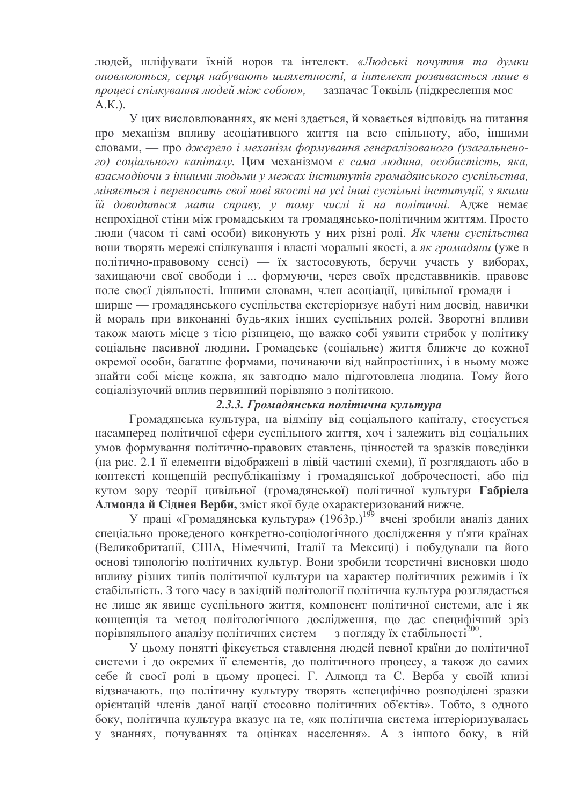людей, шліфувати їхній норов та інтелект. «Людські почуття та думки оновлюються, серця набувають шляхетності, а інтелект розвивається лише в процесі спілкування людей між собою», — зазначає Токвіль (підкреслення моє —  $AK$ ).

У цих висловлюваннях, як мені здається, й ховається відповідь на питання про механізм впливу асоціативного життя на всю спільноту, або, іншими словами, — про джерело і механізм формування генералізованого (узагальненого) соціального капіталу. Цим механізмом є сама людина, особистість, яка, взаємодіючи з іншими людьми у межах інститутів громадянського суспільства. міняється і переносить свої нові якості на усі інші суспільні інституції, з якими їй доводиться мати справу, у тому числі й на політичні. Адже немає непрохідної стіни між громадським та громадянсько-політичним життям. Просто люди (часом ті самі особи) виконують у них різні ролі. Як члени суспільства вони творять мережі спілкування і власні моральні якості, а як громадяни (уже в політично-правовому сенсі) — їх застосовують, беручи участь у виборах, захищаючи свої свободи і ... формуючи, через своїх представвників. правове поле своєї діяльності. Іншими словами, член асоціації, цивільної громади і ширше — громадянського суспільства екстеріоризує набуті ним досвід, навички й мораль при виконанні будь-яких інших суспільних ролей. Зворотні впливи також мають місце з тією різницею, що важко собі уявити стрибок у політику соціальне пасивної людини. Громадське (соціальне) життя ближче до кожної окремої особи, багатше формами, починаючи від найпростіших, і в ньому може знайти собі місце кожна, як завгодно мало підготовлена людина. Тому його соціалізуючий вплив первинний порівняно з політикою.

### 2.3.3. Громадянська політична культура

Громадянська культура, на відміну від соціального капіталу, стосується насамперед політичної сфери суспільного життя, хоч і залежить від соціальних умов формування політично-правових ставлень, цінностей та зразків поведінки (на рис. 2.1 її елементи відображені в лівій частині схеми), її розглядають або в контексті концепцій республіканізму і громадянської доброчесності, або під кутом зору теорії цивільної (громадянської) політичної культури Габріела Алмонда й Сіднея Верби, зміст якої буде охарактеризований нижче.

У праці «Громадянська культура» (1963р.)<sup>199</sup> вчені зробили аналіз даних спеціально проведеного конкретно-соціологічного дослідження у п'яти країнах (Великобританії, США, Німеччині, Італії та Мексиці) і побудували на його основі типологію політичних культур. Вони зробили теоретичні висновки щодо впливу різних типів політичної культури на характер політичних режимів і їх стабільність. З того часу в західній політології політична культура розглядається не лише як явище суспільного життя, компонент політичної системи, але і як концепція та метод політологічного дослідження, що дає специфічний зріз порівняльного аналізу політичних систем — з погляду їх стабільності<sup>200</sup>.

У цьому понятті фіксується ставлення людей певної країни до політичної системи і до окремих її елементів, до політичного процесу, а також до самих себе й своєї ролі в цьому процесі. Г. Алмонд та С. Верба у своїй книзі відзначають, що політичну культуру творять «специфічно розподілені зразки орієнтацій членів даної нації стосовно політичних об'єктів». Тобто, з одного боку, політична культура вказує на те, «як політична система інтеріоризувалась у знаннях, почуваннях та оцінках населення». А з іншого боку, в ній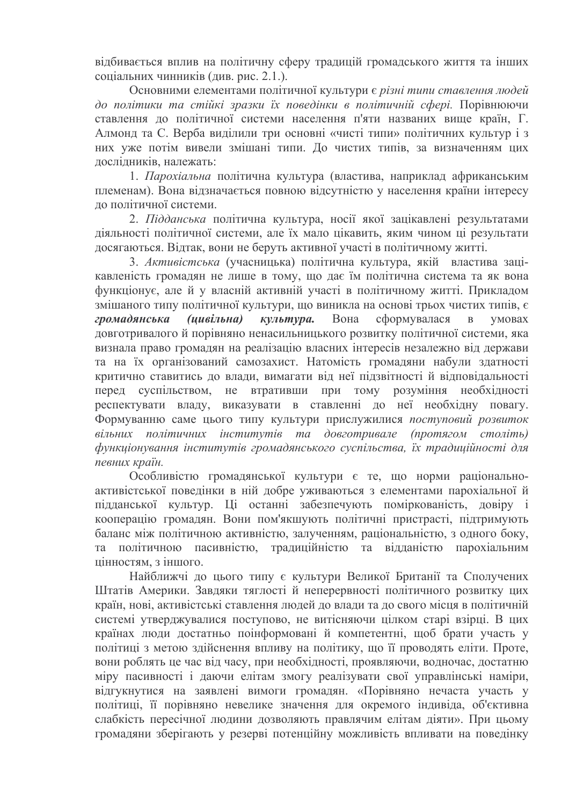відбивається вплив на політичну сферу традицій громадського життя та інших соціальних чинників (див. рис. 2.1.).

Основними елементами політичної культури є різні типи ставлення людей до політики та стійкі зразки їх поведінки в політичній сфері. Порівнюючи ставлення до політичної системи населення п'яти названих вище країн, Г. Алмонд та С. Верба виділили три основні «чисті типи» політичних культур і з них уже потім вивели змішані типи. Ло чистих типів, за визначенням цих дослідників, належать:

1. Парохіальна політична культура (властива, наприклад африканським племенам). Вона відзначається повною відсутністю у населення країни інтересу ло політичної системи.

2. Підданська політична культура, носії якої зацікавлені результатами діяльності політичної системи, але їх мало цікавить, яким чином ці результати досягаються. Відтак, вони не беруть активної участі в політичному житті.

3. Активістська (учасницька) політична культура, якій властива зацікавленість громадян не лише в тому, що дає їм політична система та як вона функціонує, але й у власній активній участі в політичному житті. Прикладом змішаного типу політичної культури, що виникла на основі трьох чистих типів, є культура. громадянська (цивільна) Вона сформувалася  $\mathbf{B}$ умовах довготривалого й порівняно ненасильницького розвитку політичної системи, яка визнала право громадян на реалізацію власних інтересів незалежно від держави та на їх організований самозахист. Натомість громадяни набули здатності критично ставитись до влади, вимагати від неї підзвітності й відповідальності перед суспільством, не втративши при тому розуміння необхідності респектувати владу, виказувати в ставленні до неї необхідну повагу. Формуванню саме цього типу культури прислужилися поступовий розвиток вільних політичних інститутів та довготривале (протягом століть) функиіонування інститутів громадянського суспільства, їх традиційності для певних країн.

Особливістю громадянської культури є те, що норми раціональноактивістської поведінки в ній добре уживаються з елементами парохіальної й підданської культур. Ці останні забезпечують поміркованість, довіру і кооперацію громадян. Вони пом'якшують політичні пристрасті, підтримують баланс між політичною активністю, залученням, раціональністю, з одного боку, та політичною пасивністю, традиційністю та відданістю парохіальним пінностям з іншого

Найближчі до цього типу є культури Великої Британії та Сполучених Штатів Америки. Завдяки тяглості й неперервності політичного розвитку цих країн, нові, активістські ставлення людей до влади та до свого місця в політичній системі утверджувалися поступово, не витісняючи цілком старі взірці. В цих країнах люди достатньо поінформовані й компетентні, щоб брати участь у політиці з метою здійснення впливу на політику, що її проводять еліти. Проте, вони роблять це час від часу, при необхідності, проявляючи, водночас, достатню міру пасивності і даючи елітам змогу реалізувати свої управлінські наміри, відгукнутися на заявлені вимоги громадян. «Порівняно нечаста участь у політиці, її порівняно невелике значення для окремого індивіда, об'єктивна слабкість пересічної людини дозволяють правлячим елітам діяти». При цьому громадяни зберігають у резерві потенційну можливість впливати на поведінку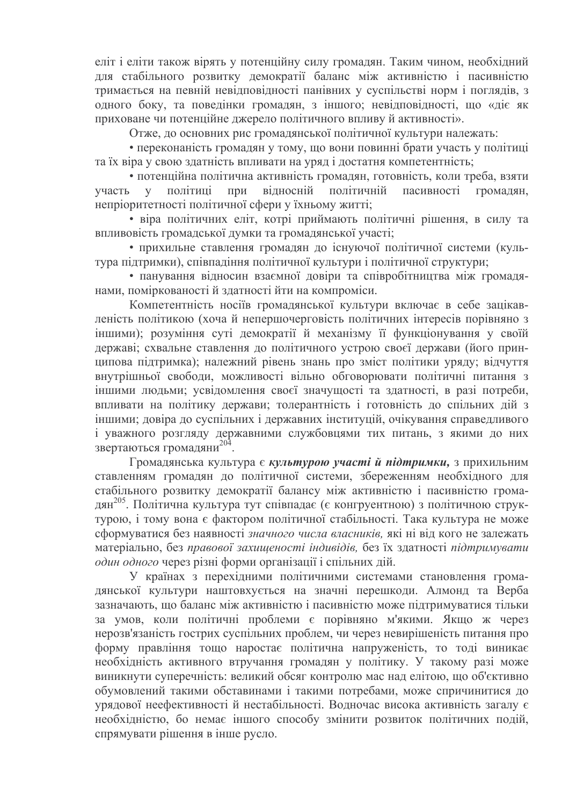еліт і еліти також вірять у потенційну силу громадян. Таким чином, необхідний для стабільного розвитку демократії баланс між активністю і пасивністю тримається на певній невідповідності панівних у суспільстві норм і поглядів, з одного боку, та поведінки громадян, з іншого; невідповідності, що «діє як приховане чи потенційне джерело політичного впливу й активності».

Отже, до основних рис громалянської політичної культури належать:

• переконаність громадян у тому, що вони повинні брати участь у політиці та їх віра у свою здатність впливати на уряд і достатня компетентність;

• потенційна політична активність громадян, готовність, коли треба, взяти участь політиці при відносній політичній пасивності громалян.  $\mathbf{V}$ непріоритетності політичної сфери у їхньому житті;

• віра політичних еліт, котрі приймають політичні рішення, в силу та впливовість громадської думки та громадянської участі;

• прихильне ставлення громадян до існуючої політичної системи (культура підтримки), співпадіння політичної культури і політичної структури;

• панування відносин взаємної довіри та співробітництва між громадянами, поміркованості й здатності йти на компроміси.

Компетентність носіїв громадянської культури включає в себе зацікавленість політикою (хоча й непершочерговість політичних інтересів порівняно з іншими); розуміння суті демократії й механізму її функціонування у своїй державі; схвальне ставлення до політичного устрою своєї держави (його принципова підтримка); належний рівень знань про зміст політики уряду; відчуття внутрішньої свободи, можливості вільно обговорювати політичні питання з іншими людьми; усвідомлення своєї значущості та здатності, в разі потреби, впливати на політику держави; толерантність і готовність до спільних дій з іншими; довіра до суспільних і державних інституцій, очікування справедливого і уважного розгляду державними службовцями тих питань, з якими до них звертаються громадяни<sup>204</sup>.

Громадянська культура є культурою участі й підтримки, з прихильним ставленням громадян до політичної системи, збереженням необхідного для стабільного розвитку демократії балансу між активністю і пасивністю громадян<sup>205</sup>. Політична культура тут співпадає (є конгруентною) з політичною структурою, і тому вона є фактором політичної стабільності. Така культура не може сформуватися без наявності значного числа власників, які ні від кого не залежать матеріально, без правової захищеності індивідів, без їх здатності підтримувати один одного через різні форми організації і спільних дій.

У країнах з перехідними політичними системами становлення громадянської культури наштовхується на значні перешкоди. Алмонд та Верба зазначають, що баланс між активністю і пасивністю може пілтримуватися тільки за умов, коли політичні проблеми є порівняно м'якими. Якщо ж через нерозв'язаність гострих суспільних проблем, чи через невирішеність питання про форму правління тощо наростає політична напруженість, то тоді виникає необхідність активного втручання громадян у політику. У такому разі може виникнути суперечність: великий обсяг контролю мас над елітою, що об'єктивно обумовлений такими обставинами і такими потребами, може спричинитися до урядової неефективності й нестабільності. Водночас висока активність загалу є необхідністю, бо немає іншого способу змінити розвиток політичних подій, спрямувати рішення в інше русло.